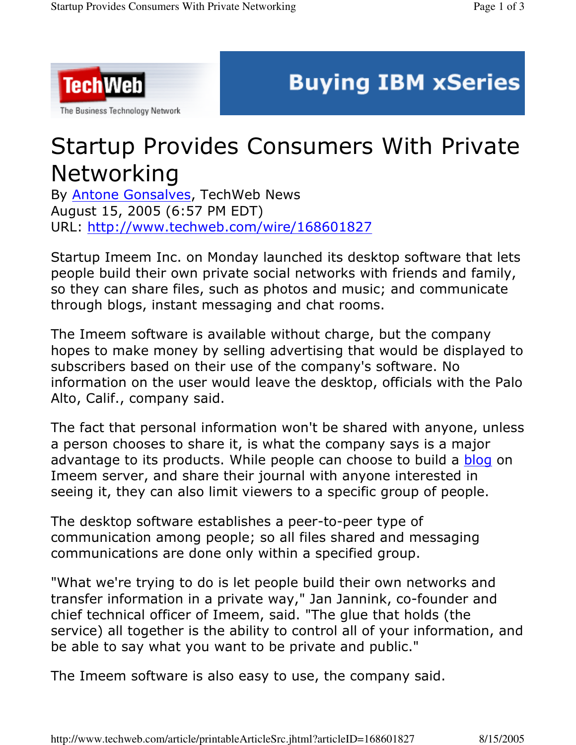

## **Buying IBM xSeries**

## Startup Provides Consumers With Private Networking

By **Antone Gonsalves**, TechWeb News August 15, 2005 (6:57 PM EDT) URL: <u>http://www.techweb.com/wire/168601827</u>

Startup Imeem Inc. on Monday launched its desktop software that lets people build their own private social networks with friends and family, so they can share files, such as photos and music; and communicate through blogs, instant messaging and chat rooms.

The Imeem software is available without charge, but the company hopes to make money by selling advertising that would be displayed to subscribers based on their use of the company's software. No information on the user would leave the desktop, officials with the Palo Alto, Calif., company said.

The fact that personal information won't be shared with anyone, unless a person chooses to share it, is what the company says is a major advantage to its products. While people can choose to build a blog on Imeem server, and share their journal with anyone interested in seeing it, they can also limit viewers to a specific group of people.

The desktop software establishes a peer-to-peer type of communication among people; so all files shared and messaging communications are done only within a specified group.

"What we're trying to do is let people build their own networks and transfer information in a private way," Jan Jannink, co-founder and chief technical officer of Imeem, said. "The glue that holds (the service) all together is the ability to control all of your information, and be able to say what you want to be private and public."

The Imeem software is also easy to use, the company said.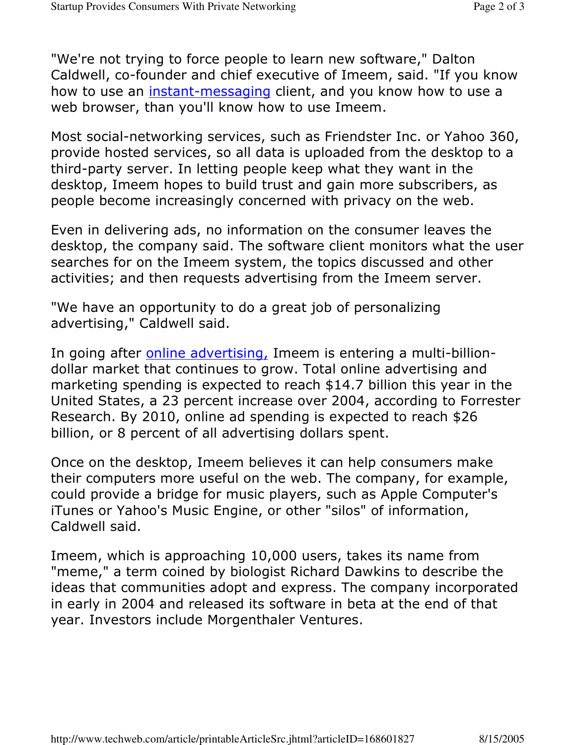"We're not trying to force people to learn new software," Dalton Caldwell, co-founder and chief executive of Imeem, said. "If you know how to use an instant-messaging client, and you know how to use a web browser, than you'll know how to use Imeem.

Most social-networking services, such as Friendster Inc. or Yahoo 360, provide hosted services, so all data is uploaded from the desktop to a third-party server. In letting people keep what they want in the desktop, Imeem hopes to build trust and gain more subscribers, as people become increasingly concerned with privacy on the web.

Even in delivering ads, no information on the consumer leaves the desktop, the company said. The software client monitors what the user searches for on the Imeem system, the topics discussed and other activities; and then requests advertising from the Imeem server.

"We have an opportunity to do a great job of personalizing advertising," Caldwell said.

In going after *online advertising*, Imeem is entering a multi-billiondollar market that continues to grow. Total online advertising and marketing spending is expected to reach  $$14.7$  billion this year in the United States, a 23 percent increase over 2004, according to Forrester Research. By 2010, online ad spending is expected to reach \$26 billion, or 8 percent of all advertising dollars spent.

Once on the desktop, Imeem believes it can help consumers make their computers more useful on the web. The company, for example, could provide a bridge for music players, such as Apple Computer's iTunes or Yahoo's Music Engine, or other "silos" of information, Caldwell said.

Imeem, which is approaching 10,000 users, takes its name from "meme," a term coined by biologist Richard Dawkins to describe the ideas that communities adopt and express. The company incorporated in early in 2004 and released its software in beta at the end of that year. Investors include Morgenthaler Ventures.